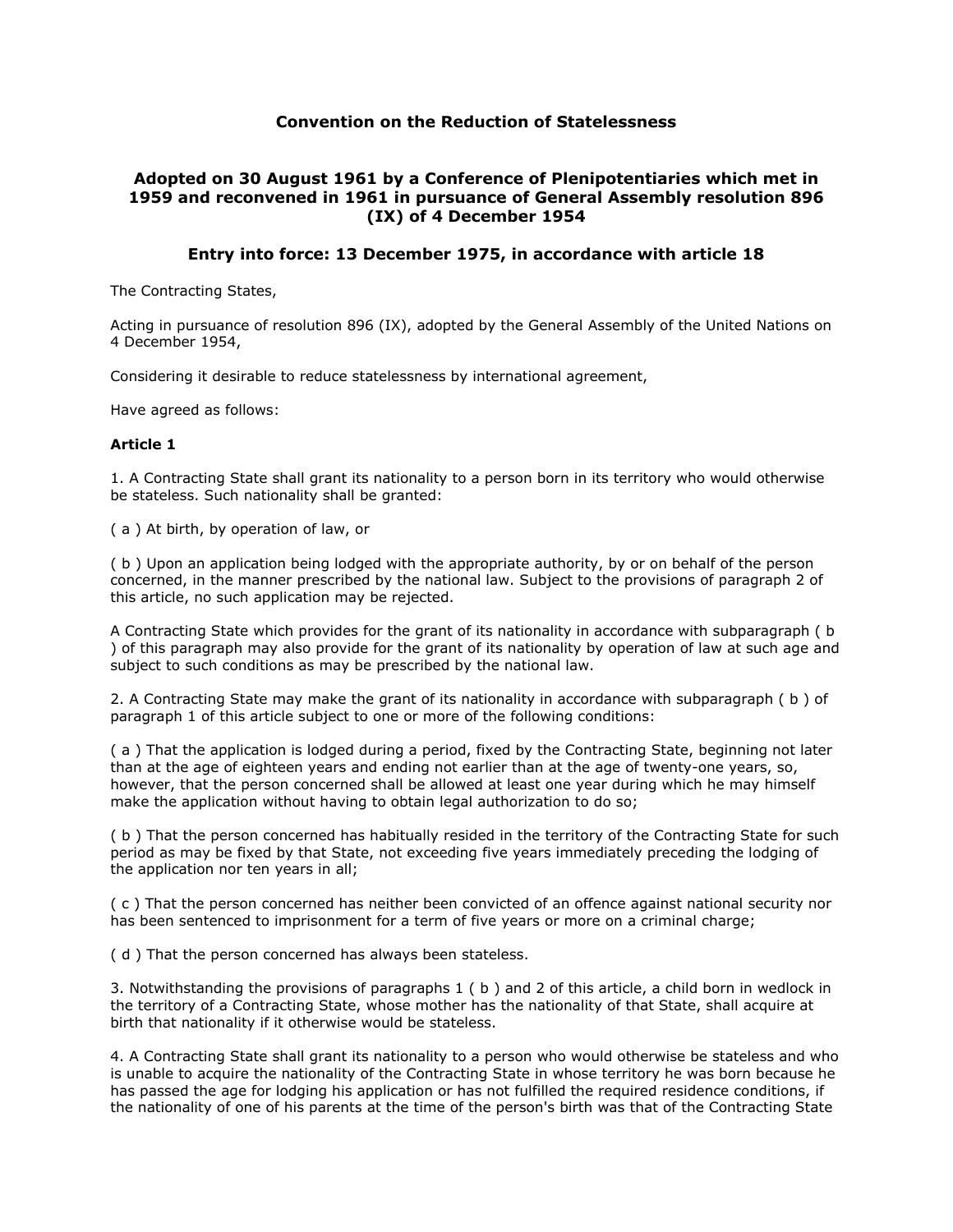# **Convention on the Reduction of Statelessness**

# **Adopted on 30 August 1961 by a Conference of Plenipotentiaries which met in 1959 and reconvened in 1961 in pursuance of General Assembly resolution 896 (IX) of 4 December 1954**

## **Entry into force: 13 December 1975, in accordance with article 18**

The Contracting States,

Acting in pursuance of resolution 896 (IX), adopted by the General Assembly of the United Nations on 4 December 1954,

Considering it desirable to reduce statelessness by international agreement,

Have agreed as follows:

### **Article 1**

1. A Contracting State shall grant its nationality to a person born in its territory who would otherwise be stateless. Such nationality shall be granted:

( a ) At birth, by operation of law, or

( b ) Upon an application being lodged with the appropriate authority, by or on behalf of the person concerned, in the manner prescribed by the national law. Subject to the provisions of paragraph 2 of this article, no such application may be rejected.

A Contracting State which provides for the grant of its nationality in accordance with subparagraph ( b ) of this paragraph may also provide for the grant of its nationality by operation of law at such age and subject to such conditions as may be prescribed by the national law.

2. A Contracting State may make the grant of its nationality in accordance with subparagraph ( b ) of paragraph 1 of this article subject to one or more of the following conditions:

( a ) That the application is lodged during a period, fixed by the Contracting State, beginning not later than at the age of eighteen years and ending not earlier than at the age of twenty-one years, so, however, that the person concerned shall be allowed at least one year during which he may himself make the application without having to obtain legal authorization to do so;

( b ) That the person concerned has habitually resided in the territory of the Contracting State for such period as may be fixed by that State, not exceeding five years immediately preceding the lodging of the application nor ten years in all;

( c ) That the person concerned has neither been convicted of an offence against national security nor has been sentenced to imprisonment for a term of five years or more on a criminal charge;

( d ) That the person concerned has always been stateless.

3. Notwithstanding the provisions of paragraphs 1 ( b ) and 2 of this article, a child born in wedlock in the territory of a Contracting State, whose mother has the nationality of that State, shall acquire at birth that nationality if it otherwise would be stateless.

4. A Contracting State shall grant its nationality to a person who would otherwise be stateless and who is unable to acquire the nationality of the Contracting State in whose territory he was born because he has passed the age for lodging his application or has not fulfilled the required residence conditions, if the nationality of one of his parents at the time of the person's birth was that of the Contracting State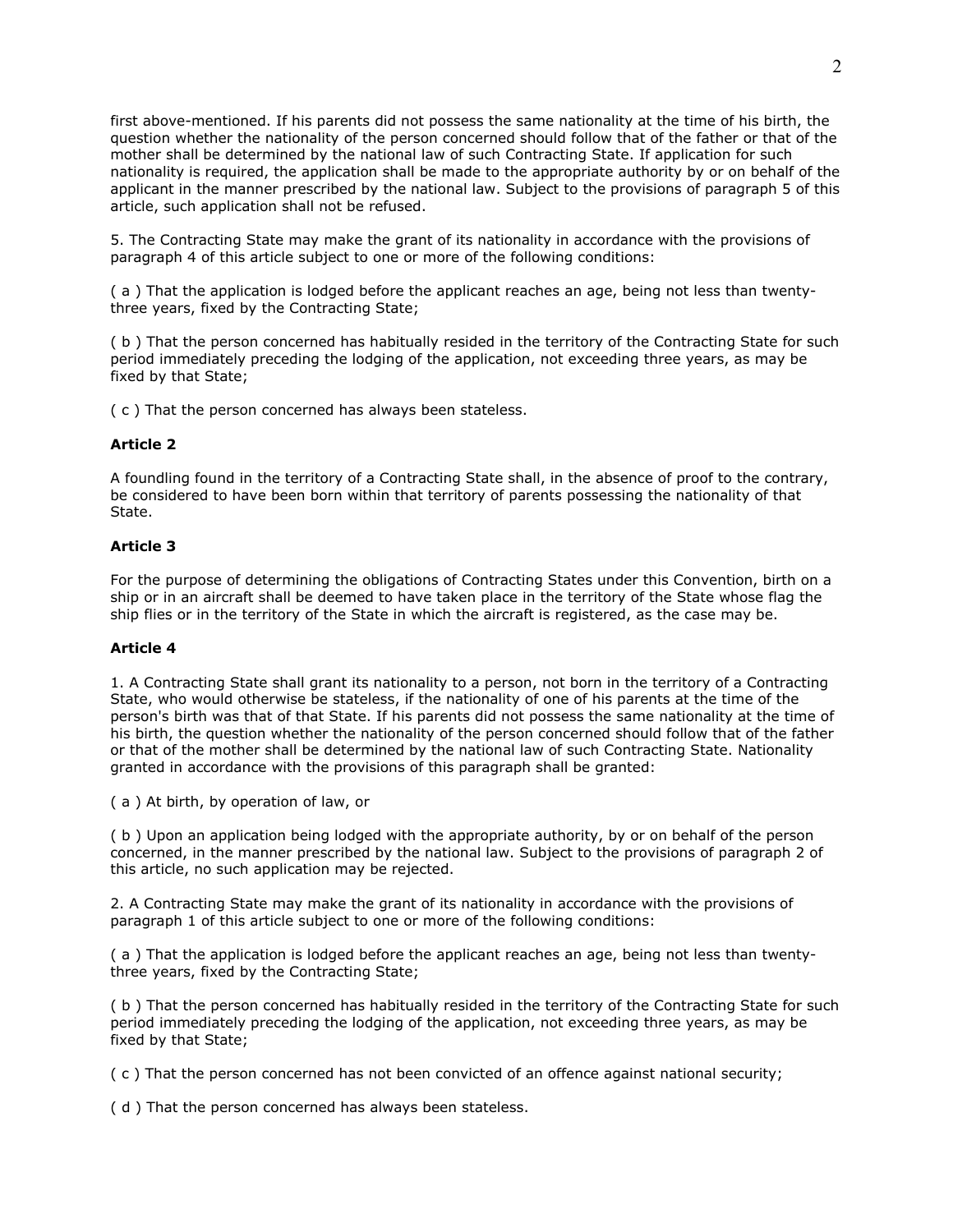first above-mentioned. If his parents did not possess the same nationality at the time of his birth, the question whether the nationality of the person concerned should follow that of the father or that of the mother shall be determined by the national law of such Contracting State. If application for such nationality is required, the application shall be made to the appropriate authority by or on behalf of the applicant in the manner prescribed by the national law. Subject to the provisions of paragraph 5 of this article, such application shall not be refused.

5. The Contracting State may make the grant of its nationality in accordance with the provisions of paragraph 4 of this article subject to one or more of the following conditions:

( a ) That the application is lodged before the applicant reaches an age, being not less than twentythree years, fixed by the Contracting State;

( b ) That the person concerned has habitually resided in the territory of the Contracting State for such period immediately preceding the lodging of the application, not exceeding three years, as may be fixed by that State;

( c ) That the person concerned has always been stateless.

## **Article 2**

A foundling found in the territory of a Contracting State shall, in the absence of proof to the contrary, be considered to have been born within that territory of parents possessing the nationality of that State.

## **Article 3**

For the purpose of determining the obligations of Contracting States under this Convention, birth on a ship or in an aircraft shall be deemed to have taken place in the territory of the State whose flag the ship flies or in the territory of the State in which the aircraft is registered, as the case may be.

### **Article 4**

1. A Contracting State shall grant its nationality to a person, not born in the territory of a Contracting State, who would otherwise be stateless, if the nationality of one of his parents at the time of the person's birth was that of that State. If his parents did not possess the same nationality at the time of his birth, the question whether the nationality of the person concerned should follow that of the father or that of the mother shall be determined by the national law of such Contracting State. Nationality granted in accordance with the provisions of this paragraph shall be granted:

( a ) At birth, by operation of law, or

( b ) Upon an application being lodged with the appropriate authority, by or on behalf of the person concerned, in the manner prescribed by the national law. Subject to the provisions of paragraph 2 of this article, no such application may be rejected.

2. A Contracting State may make the grant of its nationality in accordance with the provisions of paragraph 1 of this article subject to one or more of the following conditions:

( a ) That the application is lodged before the applicant reaches an age, being not less than twentythree years, fixed by the Contracting State;

( b ) That the person concerned has habitually resided in the territory of the Contracting State for such period immediately preceding the lodging of the application, not exceeding three years, as may be fixed by that State;

( c ) That the person concerned has not been convicted of an offence against national security;

( d ) That the person concerned has always been stateless.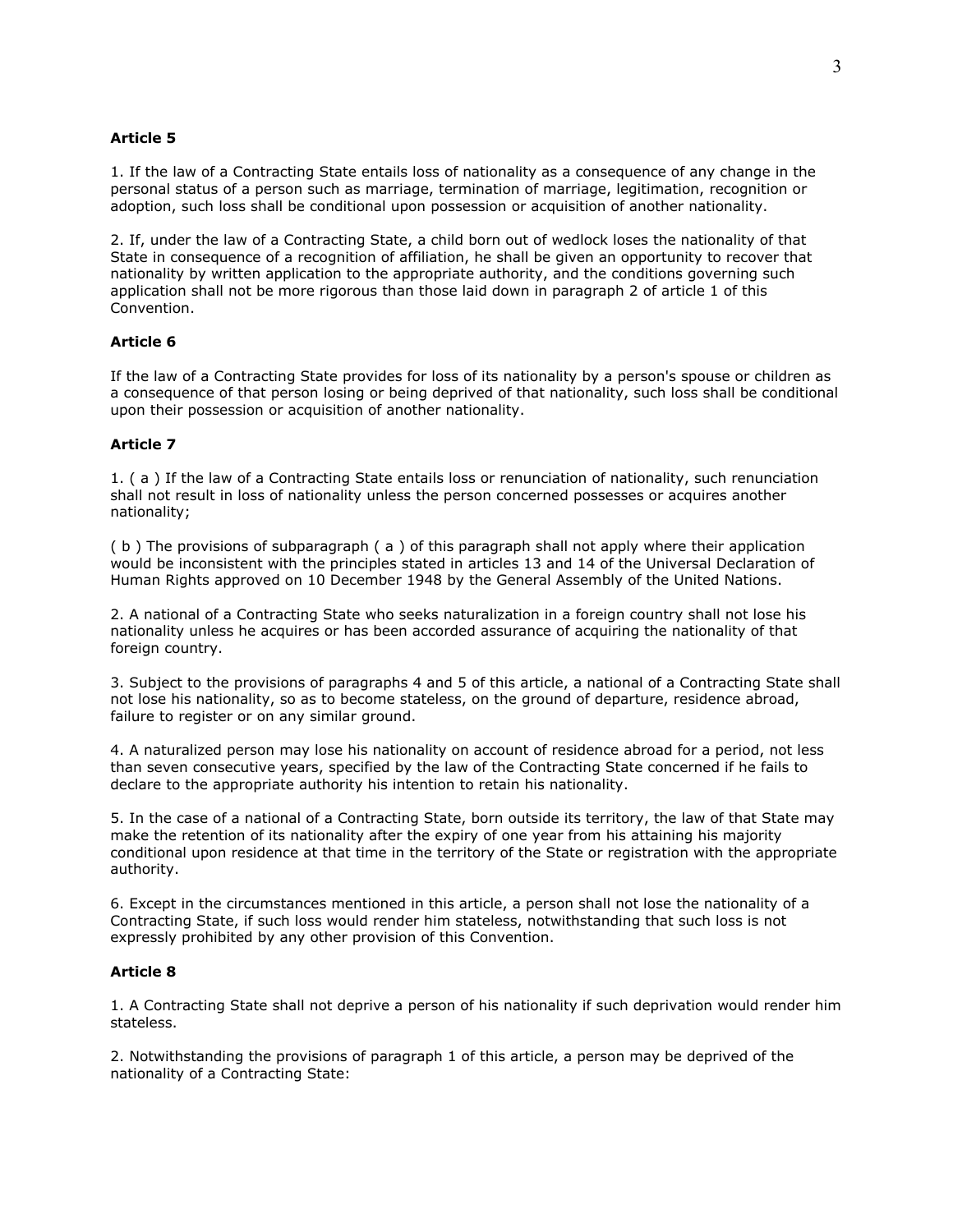## **Article 5**

1. If the law of a Contracting State entails loss of nationality as a consequence of any change in the personal status of a person such as marriage, termination of marriage, legitimation, recognition or adoption, such loss shall be conditional upon possession or acquisition of another nationality.

2. If, under the law of a Contracting State, a child born out of wedlock loses the nationality of that State in consequence of a recognition of affiliation, he shall be given an opportunity to recover that nationality by written application to the appropriate authority, and the conditions governing such application shall not be more rigorous than those laid down in paragraph 2 of article 1 of this Convention.

## **Article 6**

If the law of a Contracting State provides for loss of its nationality by a person's spouse or children as a consequence of that person losing or being deprived of that nationality, such loss shall be conditional upon their possession or acquisition of another nationality.

### **Article 7**

1. ( a ) If the law of a Contracting State entails loss or renunciation of nationality, such renunciation shall not result in loss of nationality unless the person concerned possesses or acquires another nationality;

( b ) The provisions of subparagraph ( a ) of this paragraph shall not apply where their application would be inconsistent with the principles stated in articles 13 and 14 of the Universal Declaration of Human Rights approved on 10 December 1948 by the General Assembly of the United Nations.

2. A national of a Contracting State who seeks naturalization in a foreign country shall not lose his nationality unless he acquires or has been accorded assurance of acquiring the nationality of that foreign country.

3. Subject to the provisions of paragraphs 4 and 5 of this article, a national of a Contracting State shall not lose his nationality, so as to become stateless, on the ground of departure, residence abroad, failure to register or on any similar ground.

4. A naturalized person may lose his nationality on account of residence abroad for a period, not less than seven consecutive years, specified by the law of the Contracting State concerned if he fails to declare to the appropriate authority his intention to retain his nationality.

5. In the case of a national of a Contracting State, born outside its territory, the law of that State may make the retention of its nationality after the expiry of one year from his attaining his majority conditional upon residence at that time in the territory of the State or registration with the appropriate authority.

6. Except in the circumstances mentioned in this article, a person shall not lose the nationality of a Contracting State, if such loss would render him stateless, notwithstanding that such loss is not expressly prohibited by any other provision of this Convention.

### **Article 8**

1. A Contracting State shall not deprive a person of his nationality if such deprivation would render him stateless.

2. Notwithstanding the provisions of paragraph 1 of this article, a person may be deprived of the nationality of a Contracting State: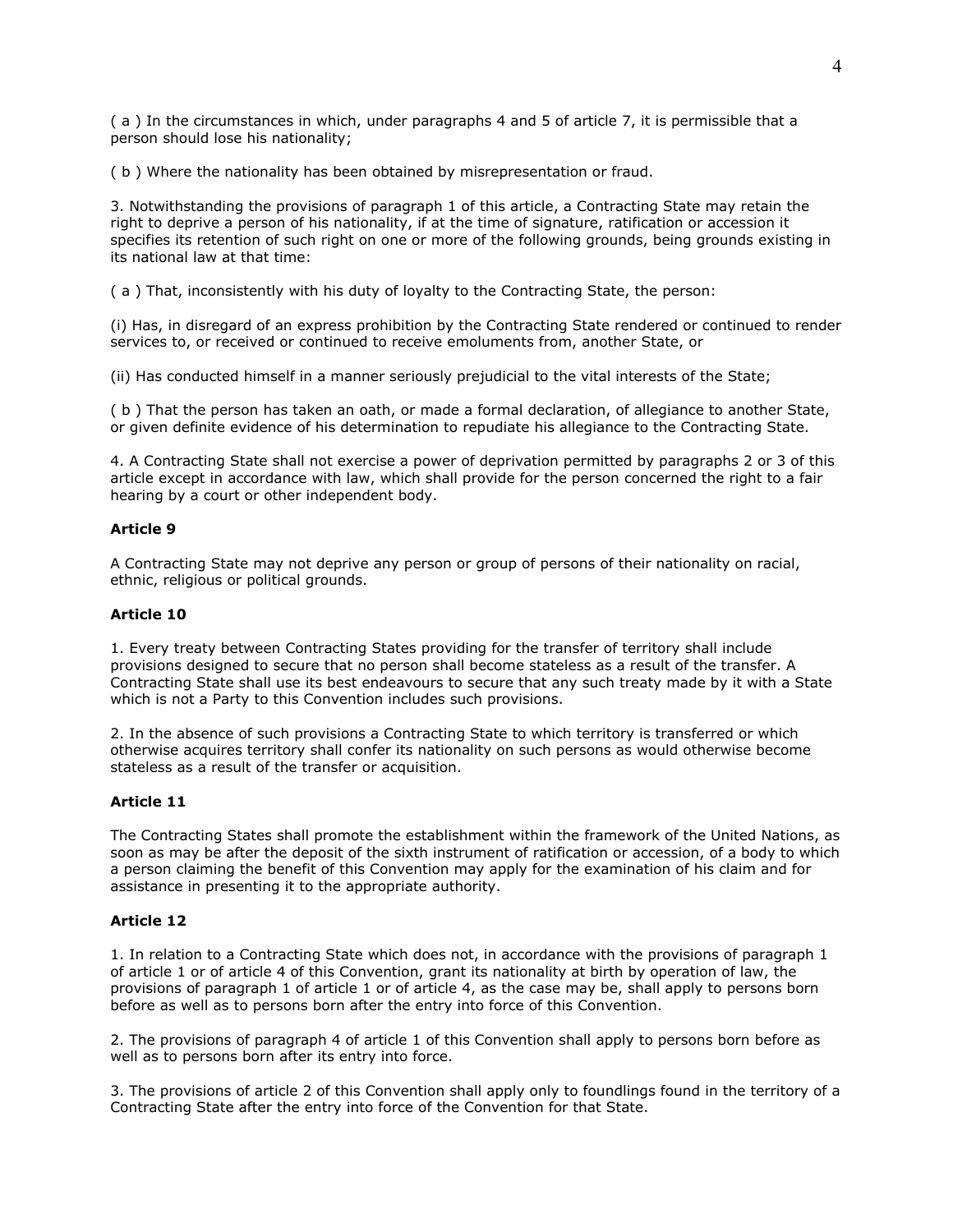( a ) In the circumstances in which, under paragraphs 4 and 5 of article 7, it is permissible that a person should lose his nationality;

( b ) Where the nationality has been obtained by misrepresentation or fraud.

3. Notwithstanding the provisions of paragraph 1 of this article, a Contracting State may retain the right to deprive a person of his nationality, if at the time of signature, ratification or accession it specifies its retention of such right on one or more of the following grounds, being grounds existing in its national law at that time:

( a ) That, inconsistently with his duty of loyalty to the Contracting State, the person:

(i) Has, in disregard of an express prohibition by the Contracting State rendered or continued to render services to, or received or continued to receive emoluments from, another State, or

(ii) Has conducted himself in a manner seriously prejudicial to the vital interests of the State;

( b ) That the person has taken an oath, or made a formal declaration, of allegiance to another State, or given definite evidence of his determination to repudiate his allegiance to the Contracting State.

4. A Contracting State shall not exercise a power of deprivation permitted by paragraphs 2 or 3 of this article except in accordance with law, which shall provide for the person concerned the right to a fair hearing by a court or other independent body.

## **Article 9**

A Contracting State may not deprive any person or group of persons of their nationality on racial, ethnic, religious or political grounds.

## **Article 10**

1. Every treaty between Contracting States providing for the transfer of territory shall include provisions designed to secure that no person shall become stateless as a result of the transfer. A Contracting State shall use its best endeavours to secure that any such treaty made by it with a State which is not a Party to this Convention includes such provisions.

2. In the absence of such provisions a Contracting State to which territory is transferred or which otherwise acquires territory shall confer its nationality on such persons as would otherwise become stateless as a result of the transfer or acquisition.

### **Article 11**

The Contracting States shall promote the establishment within the framework of the United Nations, as soon as may be after the deposit of the sixth instrument of ratification or accession, of a body to which a person claiming the benefit of this Convention may apply for the examination of his claim and for assistance in presenting it to the appropriate authority.

## **Article 12**

1. In relation to a Contracting State which does not, in accordance with the provisions of paragraph 1 of article 1 or of article 4 of this Convention, grant its nationality at birth by operation of law, the provisions of paragraph 1 of article 1 or of article 4, as the case may be, shall apply to persons born before as well as to persons born after the entry into force of this Convention.

2. The provisions of paragraph 4 of article 1 of this Convention shall apply to persons born before as well as to persons born after its entry into force.

3. The provisions of article 2 of this Convention shall apply only to foundlings found in the territory of a Contracting State after the entry into force of the Convention for that State.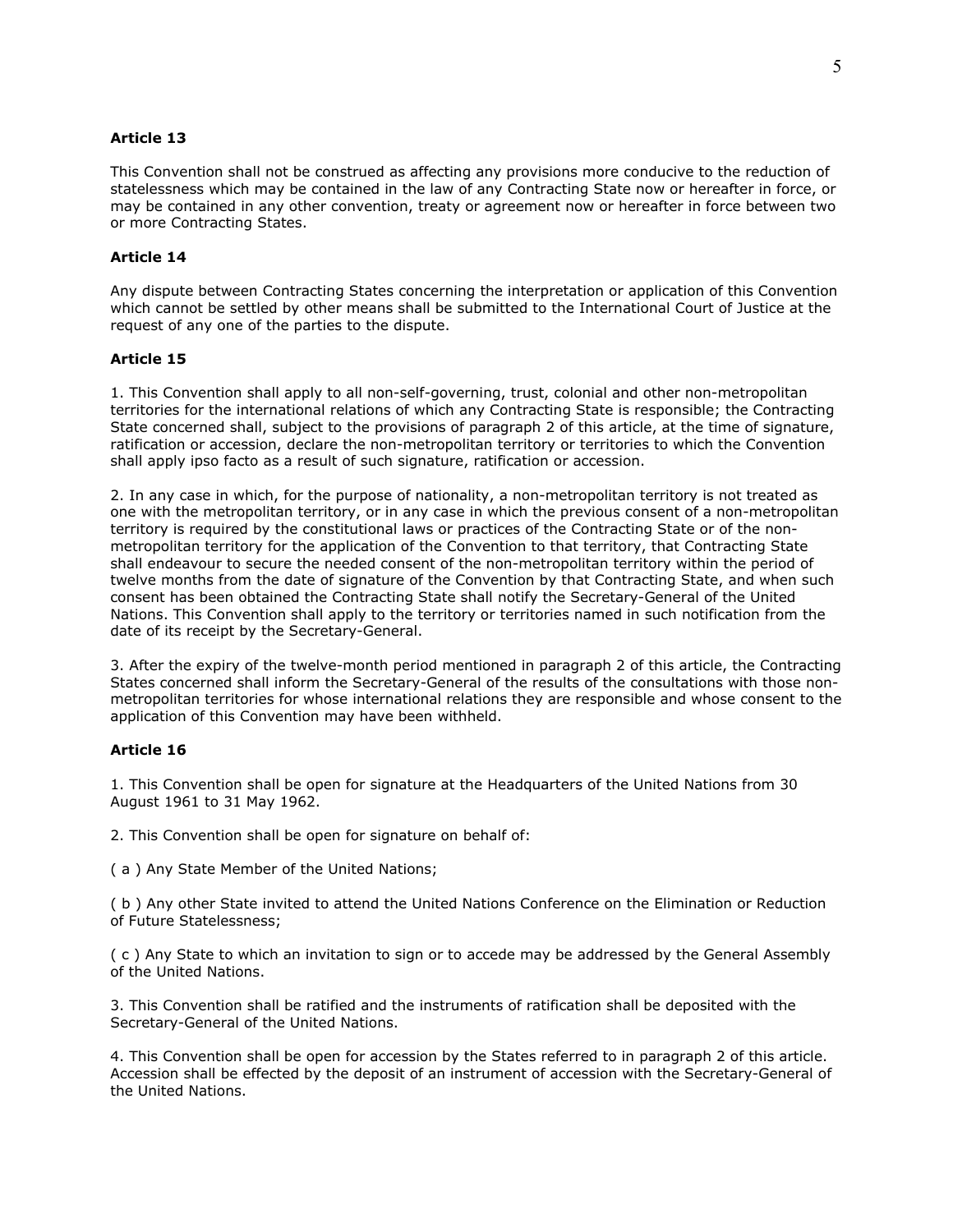## **Article 13**

This Convention shall not be construed as affecting any provisions more conducive to the reduction of statelessness which may be contained in the law of any Contracting State now or hereafter in force, or may be contained in any other convention, treaty or agreement now or hereafter in force between two or more Contracting States.

## **Article 14**

Any dispute between Contracting States concerning the interpretation or application of this Convention which cannot be settled by other means shall be submitted to the International Court of Justice at the request of any one of the parties to the dispute.

## **Article 15**

1. This Convention shall apply to all non-self-governing, trust, colonial and other non-metropolitan territories for the international relations of which any Contracting State is responsible; the Contracting State concerned shall, subject to the provisions of paragraph 2 of this article, at the time of signature, ratification or accession, declare the non-metropolitan territory or territories to which the Convention shall apply ipso facto as a result of such signature, ratification or accession.

2. In any case in which, for the purpose of nationality, a non-metropolitan territory is not treated as one with the metropolitan territory, or in any case in which the previous consent of a non-metropolitan territory is required by the constitutional laws or practices of the Contracting State or of the nonmetropolitan territory for the application of the Convention to that territory, that Contracting State shall endeavour to secure the needed consent of the non-metropolitan territory within the period of twelve months from the date of signature of the Convention by that Contracting State, and when such consent has been obtained the Contracting State shall notify the Secretary-General of the United Nations. This Convention shall apply to the territory or territories named in such notification from the date of its receipt by the Secretary-General.

3. After the expiry of the twelve-month period mentioned in paragraph 2 of this article, the Contracting States concerned shall inform the Secretary-General of the results of the consultations with those nonmetropolitan territories for whose international relations they are responsible and whose consent to the application of this Convention may have been withheld.

#### **Article 16**

1. This Convention shall be open for signature at the Headquarters of the United Nations from 30 August 1961 to 31 May 1962.

2. This Convention shall be open for signature on behalf of:

( a ) Any State Member of the United Nations;

( b ) Any other State invited to attend the United Nations Conference on the Elimination or Reduction of Future Statelessness;

( c ) Any State to which an invitation to sign or to accede may be addressed by the General Assembly of the United Nations.

3. This Convention shall be ratified and the instruments of ratification shall be deposited with the Secretary-General of the United Nations.

4. This Convention shall be open for accession by the States referred to in paragraph 2 of this article. Accession shall be effected by the deposit of an instrument of accession with the Secretary-General of the United Nations.